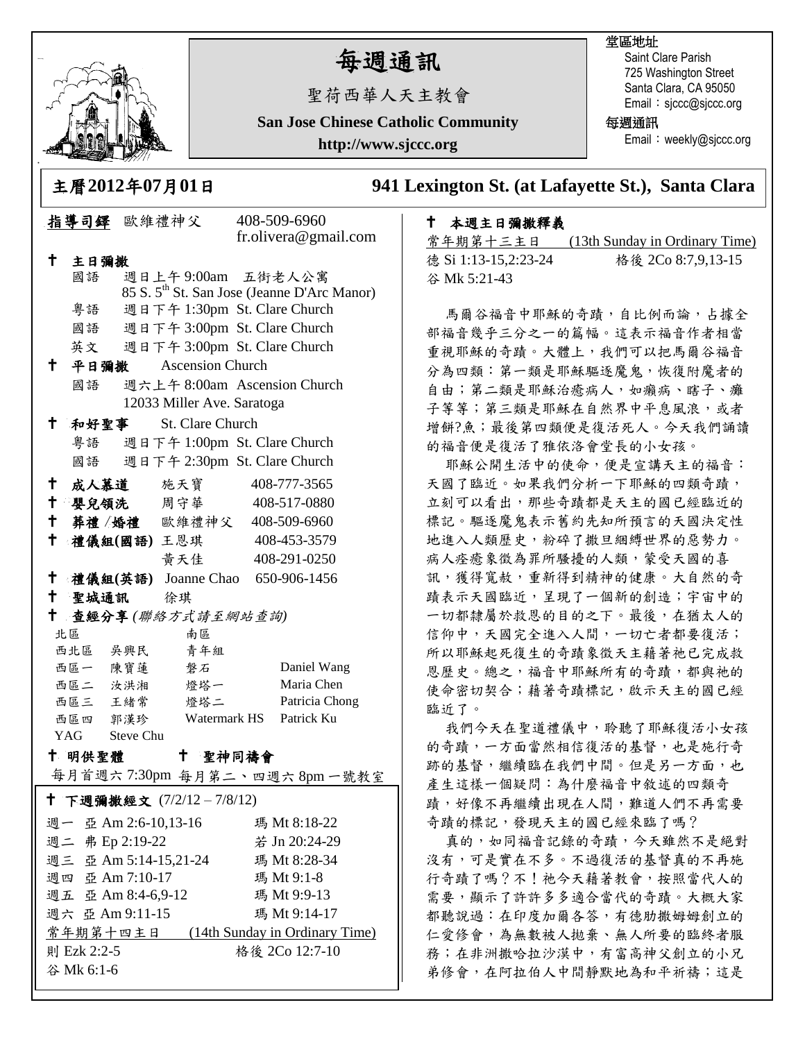

## 每週通訊

聖荷西華人天主教會

**San Jose Chinese Catholic Community**

**http://www.sjccc.org**

## 堂區地址

Saint Clare Parish 725 Washington Street Santa Clara, CA 95050 Email: sjccc@sjccc.org

每週通訊

Email: weekly@sjccc.org

主曆**2012**年**07**月**01**日 **941 Lexington St. (at Lafayette St.), Santa Clara** 

## 本週主日彌撒釋義

常年期第十三主日 (13th Sunday in Ordinary Time) 德 Si 1:13-15,2:23-24 格後 2Co 8:7,9,13-15 谷 Mk 5:21-43

馬爾谷福音中耶穌的奇蹟,自比例而論,占據全 部福音幾乎三分之一的篇幅。這表示福音作者相當 重視耶穌的奇蹟。大體上,我們可以把馬爾谷福音 分為四類:第一類是耶穌驅逐魔鬼,恢復附魔者的 自由;第二類是耶穌治癒病人,如癩病、瞎子、癱 子等等;第三類是耶穌在自然界中平息風浪,或者 增餅?魚;最後第四類便是復活死人。今天我們誦讀 的福音便是復活了雅依洛會堂長的小女孩。

耶穌公開生活中的使命,便是宣講天主的福音: 天國了臨近。如果我們分析一下耶穌的四類奇蹟, 立刻可以看出,那些奇蹟都是天主的國已經臨近的 標記。驅逐魔鬼表示舊約先知所預言的天國決定性 地進入人類歷史,粉碎了撒旦綑縛世界的惡勢力。 病人痊癒象徵為罪所騷擾的人類,蒙受天國的喜 訊,獲得寬赦,重新得到精神的健康。大自然的奇 蹟表示天國臨近,呈現了一個新的創造;宇宙中的 一切都隸屬於救恩的目的之下。最後,在猶太人的 信仰中,天國完全進入人間,一切亡者都要復活; 所以耶穌起死復生的奇蹟象徵天主藉著祂已完成救 恩歷史。總之,福音中耶穌所有的奇蹟,都與祂的 使命密切契合;藉著奇蹟標記,啟示天主的國已經 臨近了。

我們今天在聖道禮儀中,聆聽了耶穌復活小女孩 的奇蹟,一方面當然相信復活的基督,也是施行奇 跡的基督,繼續臨在我們中間。但是另一方面,也 產生這樣一個疑問:為什麼福音中敘述的四類奇 蹟,好像不再繼續出現在人間,難道人們不再需要 奇蹟的標記,發現天主的國已經來臨了嗎?

真的,如同福音記錄的奇蹟,今天雖然不是絕對 沒有,可是實在不多。不過復活的基督真的不再施 行奇蹟了嗎?不!祂今天藉著教會,按照當代人的 需要,顯示了許許多多適合當代的奇蹟。大概大家 都聽說過:在印度加爾各答,有德肋撒姆姆創立的 仁愛修會,為無數被人拋棄、無人所要的臨終者服 務;在非洲撒哈拉沙漠中,有富高神父創立的小兄 弟修會,在阿拉伯人中間靜默地為和平祈禱;這是

|                                         |         | 指導司鐸 歐維禮神父              | 408-509-6960                                            |
|-----------------------------------------|---------|-------------------------|---------------------------------------------------------|
|                                         |         |                         | fr.olivera@gmail.com                                    |
| t                                       | 主日彌撒    |                         |                                                         |
|                                         | 國語      |                         | 週日上午9:00am 五街老人公寓                                       |
|                                         |         |                         | 85 S. 5 <sup>th</sup> St. San Jose (Jeanne D'Arc Manor) |
|                                         | 粤語      |                         | 週日下午 1:30pm St. Clare Church                            |
|                                         | 國語      |                         | 週日下午 3:00pm St. Clare Church                            |
|                                         | 英文      |                         | 週日下午 3:00pm St. Clare Church                            |
| ↑                                       | 平日彌撒    | <b>Ascension Church</b> |                                                         |
|                                         | 國語      |                         | 週六上午 8:00am Ascension Church                            |
| 12033 Miller Ave. Saratoga              |         |                         |                                                         |
| $^\dagger$                              | 和好聖事    | St. Clare Church        |                                                         |
|                                         | 粵語      |                         | 週日下午 1:00pm St. Clare Church                            |
|                                         | 國語      |                         | 週日下午 2:30pm St. Clare Church                            |
| $^{\dagger}$                            | 成人慕道    | 施天寶                     | 408-777-3565                                            |
| † ∣                                     |         | 嬰兒領洗 周守華                | 408-517-0880                                            |
| $\mathbf +$                             |         | 葬禮/婚禮 歐維禮神父             | 408-509-6960                                            |
| $\mathsf{t}$                            |         |                         | 禮儀組(國語)王恩琪 408-453-3579                                 |
|                                         |         | 黄天佳                     | 408-291-0250                                            |
| $^\mathsf{+}$                           |         |                         | 禮儀組(英語) Joanne Chao 650-906-1456                        |
| $\mathsf{+}$                            |         | 聖城通訊 徐琪                 |                                                         |
| $^{\mathrm{+}}$<br>查經分享(聯絡方式請至網站查詢)     |         |                         |                                                         |
|                                         | 北區      | 南區                      |                                                         |
|                                         | 西北區 吳興民 | 青年組                     |                                                         |
|                                         | 西區一 陳寶蓮 | 磐石                      | Daniel Wang                                             |
|                                         | 西區二 汝洪湘 | 燈塔一                     | Maria Chen                                              |
|                                         | 西區三 王緒常 | 燈塔二                     | Patricia Chong                                          |
|                                         | 西區四 郭漢珍 |                         | Watermark HS<br>Patrick Ku                              |
| YAG Steve Chu                           |         |                         |                                                         |
| t –<br>十 明供聖體<br>聖神同禱會                  |         |                         |                                                         |
| 每月首週六7:30pm 每月第二、四週六8pm一號教室             |         |                         |                                                         |
| † 下週彌撒經文 (7/2/12-7/8/12)                |         |                         |                                                         |
| 週一 亞 Am 2:6-10,13-16                    |         |                         | 瑪 Mt 8:18-22                                            |
| 週二 弗 Ep 2:19-22<br>若 Jn 20:24-29        |         |                         |                                                         |
| 週三 亞 Am 5:14-15,21-24<br>瑪 Mt 8:28-34   |         |                         |                                                         |
| 週四 亞 Am 7:10-17<br>瑪 Mt 9:1-8           |         |                         |                                                         |
| 週五 亞 Am 8:4-6,9-12<br>瑪 Mt 9:9-13       |         |                         |                                                         |
| 週六 亞 Am 9:11-15<br>瑪 Mt 9:14-17         |         |                         |                                                         |
| 常年期第十四主日 (14th Sunday in Ordinary Time) |         |                         |                                                         |

格後 2Co 12:7-10

則 Ezk 2:2-5 谷 Mk 6:1-6